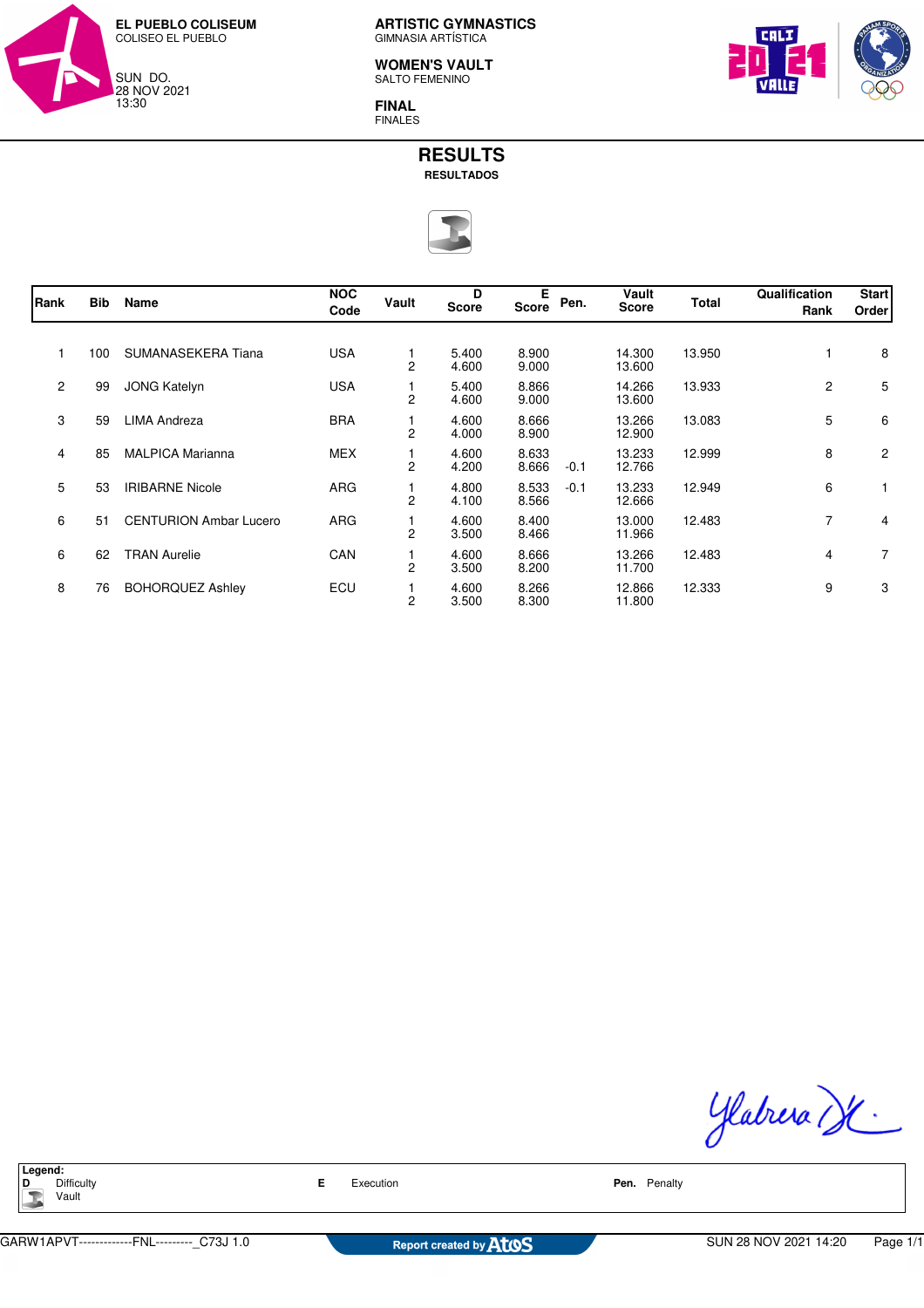

**WOMEN'S VAULT** SALTO FEMENINO

**FINAL** FINALES



# **RESULTS RESULTADOS**



| Rank         | <b>Bib</b> | Name                          | <b>NOC</b><br>Code | Vault          | D<br><b>Score</b> | Е<br><b>Score</b> | Pen.   | Vault<br><b>Score</b> | Total  | Qualification<br>Rank | <b>Start</b><br>Order |
|--------------|------------|-------------------------------|--------------------|----------------|-------------------|-------------------|--------|-----------------------|--------|-----------------------|-----------------------|
| 1            | 100        | SUMANASEKERA Tiana            | <b>USA</b>         | $\overline{c}$ | 5.400<br>4.600    | 8.900<br>9.000    |        | 14.300<br>13.600      | 13.950 |                       | 8                     |
| $\mathbf{2}$ | 99         | <b>JONG Katelyn</b>           | <b>USA</b>         | 2              | 5.400<br>4.600    | 8.866<br>9.000    |        | 14.266<br>13.600      | 13.933 | $\mathbf{2}$          | 5                     |
| 3            | 59         | <b>LIMA Andreza</b>           | <b>BRA</b>         | 2              | 4.600<br>4.000    | 8.666<br>8.900    |        | 13.266<br>12.900      | 13.083 | 5                     | 6                     |
| 4            | 85         | <b>MALPICA Marianna</b>       | <b>MEX</b>         | $\overline{c}$ | 4.600<br>4.200    | 8.633<br>8.666    | $-0.1$ | 13.233<br>12.766      | 12.999 | 8                     | $\overline{2}$        |
| 5            | 53         | <b>IRIBARNE Nicole</b>        | <b>ARG</b>         | 2              | 4.800<br>4.100    | 8.533<br>8.566    | $-0.1$ | 13.233<br>12.666      | 12.949 | 6                     |                       |
| 6            | 51         | <b>CENTURION Ambar Lucero</b> | <b>ARG</b>         | 2              | 4.600<br>3.500    | 8.400<br>8.466    |        | 13.000<br>11.966      | 12.483 | $\overline{7}$        | 4                     |
| 6            | 62         | <b>TRAN Aurelie</b>           | CAN                | $\overline{c}$ | 4.600<br>3.500    | 8.666<br>8.200    |        | 13.266<br>11.700      | 12.483 | 4                     | $\overline{7}$        |
| 8            | 76         | <b>BOHORQUEZ Ashley</b>       | ECU                | $\overline{c}$ | 4.600<br>3.500    | 8.266<br>8.300    |        | 12.866<br>11.800      | 12.333 | 9                     | 3                     |

Ylabrera de

**Legend:**<br>**D** Difficulty Vault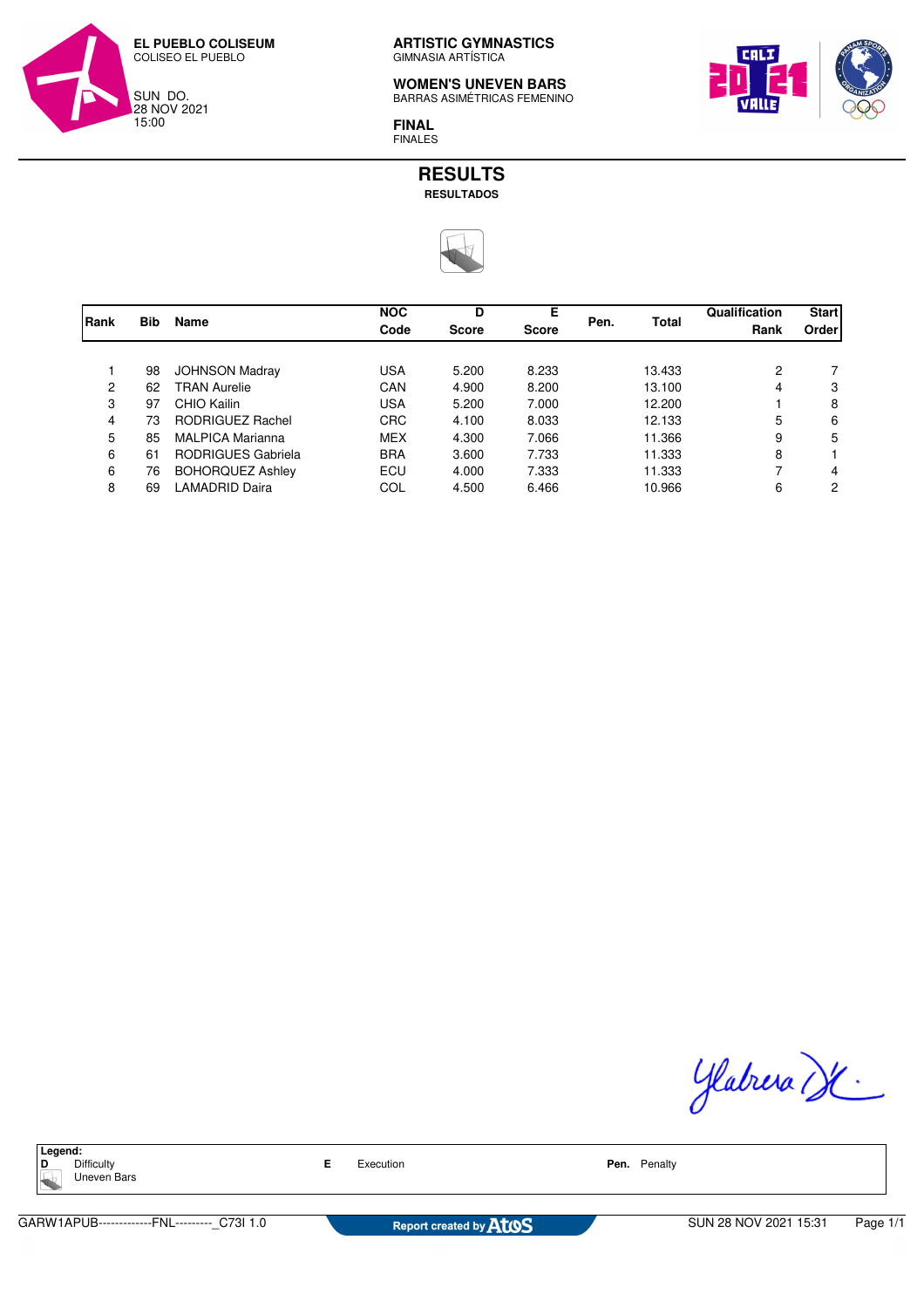

**WOMEN'S UNEVEN BARS** BARRAS ASIMÉTRICAS FEMENINO



**FINAL** FINALES

### **RESULTS RESULTADOS**



| Rank |            | <b>Name</b>             | <b>NOC</b><br>Code | D            | Е            |      | Total  | Qualification<br>Rank | <b>Start</b><br>Order |
|------|------------|-------------------------|--------------------|--------------|--------------|------|--------|-----------------------|-----------------------|
|      | <b>Bib</b> |                         |                    | <b>Score</b> | <b>Score</b> | Pen. |        |                       |                       |
|      |            |                         |                    |              |              |      |        |                       |                       |
|      | 98         | <b>JOHNSON Madray</b>   | <b>USA</b>         | 5.200        | 8.233        |      | 13.433 | 2                     |                       |
| 2    | 62         | <b>TRAN Aurelie</b>     | CAN                | 4.900        | 8.200        |      | 13.100 | 4                     | 3                     |
| 3    | 97         | CHIO Kailin             | <b>USA</b>         | 5.200        | 7.000        |      | 12.200 |                       | 8                     |
| 4    | 73         | RODRIGUEZ Rachel        | <b>CRC</b>         | 4.100        | 8.033        |      | 12.133 | 5                     | 6                     |
| 5    | 85         | <b>MALPICA Marianna</b> | <b>MEX</b>         | 4.300        | 7.066        |      | 11.366 | 9                     | 5                     |
| 6    | 61         | RODRIGUES Gabriela      | <b>BRA</b>         | 3.600        | 7.733        |      | 11.333 | 8                     |                       |
| 6    | 76         | <b>BOHORQUEZ Ashley</b> | ECU                | 4.000        | 7.333        |      | 11.333 | 7                     | 4                     |
| 8    | 69         | <b>LAMADRID Daira</b>   | COL                | 4.500        | 6.466        |      | 10.966 | 6                     | 2                     |
|      |            |                         |                    |              |              |      |        |                       |                       |

Glabrera de

**Legend:**<br>**D** Difficulty Uneven Bars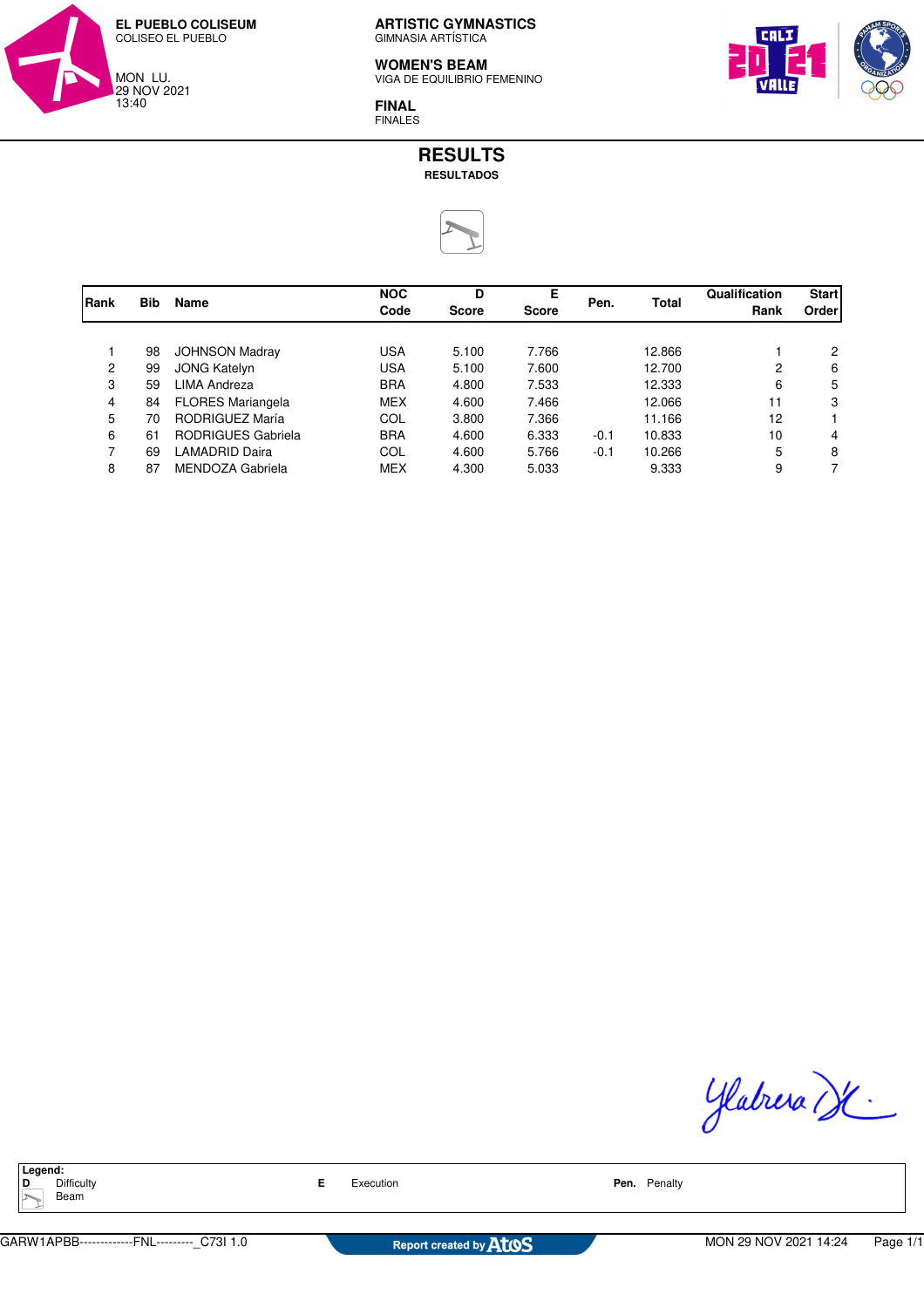

#### **WOMEN'S BEAM**

VIGA DE EQUILIBRIO FEMENINO

**FINAL** FINALES

## **RESULTS RESULTADOS**



| Rank |            | Name                      | <b>NOC</b><br>Code | D<br><b>Score</b> | Е<br>Score | Pen.   | Total  | Qualification | <b>Start</b> |
|------|------------|---------------------------|--------------------|-------------------|------------|--------|--------|---------------|--------------|
|      | <b>Bib</b> |                           |                    |                   |            |        |        | Rank          | Order        |
|      |            |                           |                    |                   |            |        |        |               |              |
|      | 98         | <b>JOHNSON Madray</b>     | <b>USA</b>         | 5.100             | 7.766      |        | 12.866 |               | 2            |
| 2    | 99         | <b>JONG Katelyn</b>       | <b>USA</b>         | 5.100             | 7.600      |        | 12.700 | 2             | 6            |
| 3    | 59         | LIMA Andreza              | <b>BRA</b>         | 4.800             | 7.533      |        | 12.333 | 6             | 5            |
| 4    | 84         | <b>FLORES Mariangela</b>  | <b>MEX</b>         | 4.600             | 7.466      |        | 12.066 | 11            | 3            |
| 5    | 70         | RODRIGUEZ María           | COL                | 3.800             | 7.366      |        | 11.166 | 12            |              |
| 6    | 61         | <b>RODRIGUES Gabriela</b> | <b>BRA</b>         | 4.600             | 6.333      | $-0.1$ | 10.833 | 10            | 4            |
| 7    | 69         | <b>AMADRID Daira</b>      | COL                | 4.600             | 5.766      | $-0.1$ | 10.266 | 5             | 8            |
| 8    | 87         | MENDOZA Gabriela          | <b>MEX</b>         | 4.300             | 5.033      |        | 9.333  | 9             |              |

Ylabrera de

**Legend:**<br>**D** Difficulty **Beam**